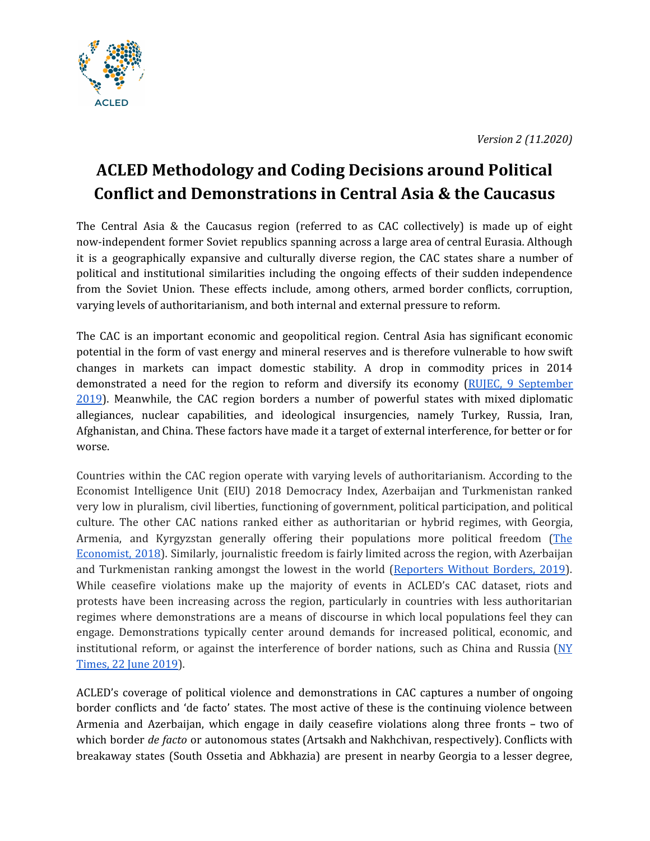

*Version 2 (11.2020)*

# **ACLED Methodology and Coding Decisions around Political Conflict and Demonstrations in Central Asia & the Caucasus**

The Central Asia & the Caucasus region (referred to as CAC collectively) is made up of eight now-independent former Soviet republics spanning across a large area of central Eurasia. Although it is a geographically expansive and culturally diverse region, the CAC states share a number of political and institutional similarities including the ongoing effects of their sudden independence from the Soviet Union. These effects include, among others, armed border conflicts, corruption, varying levels of authoritarianism, and both internal and external pressure to reform.

The CAC is an important economic and geopolitical region. Central Asia has significant economic potential in the form of vast energy and mineral reserves and is therefore vulnerable to how swift changes in markets can impact domestic stability. A drop in commodity prices in 2014 demonstrated a need for the region to reform and diversify its economy (RUJEC, 9 [September](https://rujec.org/article/27994/) [2019](https://rujec.org/article/27994/)). Meanwhile, the CAC region borders a number of powerful states with mixed diplomatic allegiances, nuclear capabilities, and ideological insurgencies, namely Turkey, Russia, Iran, Afghanistan, and China. These factors have made it a target of external interference, for better or for worse.

Countries within the CAC region operate with varying levels of authoritarianism. According to the Economist Intelligence Unit (EIU) 2018 Democracy Index, Azerbaijan and Turkmenistan ranked very low in pluralism, civil liberties, functioning of government, political participation, and political culture. The other CAC nations ranked either as authoritarian or hybrid regimes, with Georgia, Armenia, and Kyrgyzstan generally offering their populations more political freedom [\(The](https://www.eiu.com/public/topical_report.aspx?campaignid=Democracy2018) [Economist,](https://www.eiu.com/public/topical_report.aspx?campaignid=Democracy2018) 2018). Similarly, journalistic freedom is fairly limited across the region, with Azerbaijan and Turkmenistan ranking amongst the lowest in the world ([Reporters](https://rsf.org/en/ranking) Without Borders, 2019). While ceasefire violations make up the majority of events in ACLED's CAC dataset, riots and protests have been increasing across the region, particularly in countries with less authoritarian regimes where demonstrations are a means of discourse in which local populations feel they can engage. Demonstrations typically center around demands for increased political, economic, and institutional reform, or against the interference of border nations, such as China and Russia  $(NY)$  $(NY)$  $(NY)$ [Times,](https://www.nytimes.com/2019/06/22/world/europe/georgia-russia-protests.html) 22 June 2019).

ACLED's coverage of political violence and demonstrations in CAC captures a number of ongoing border conflicts and 'de facto' states. The most active of these is the continuing violence between Armenia and Azerbaijan, which engage in daily ceasefire violations along three fronts **–** two of which border *de facto* or autonomous states (Artsakh and Nakhchivan, respectively). Conflicts with breakaway states (South Ossetia and Abkhazia) are present in nearby Georgia to a lesser degree,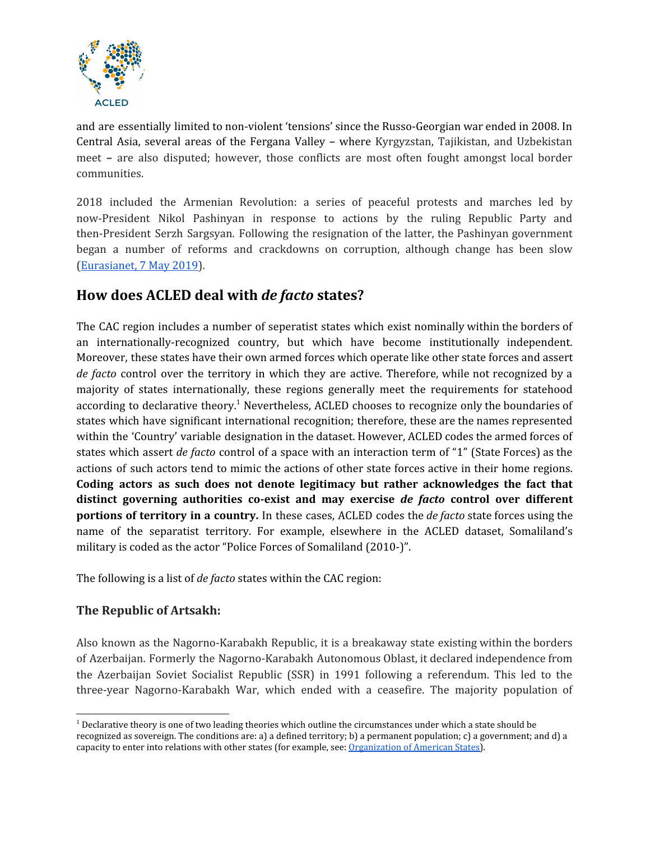

and are essentially limited to non-violent 'tensions' since the Russo-Georgian war ended in 2008. In Central Asia, several areas of the Fergana Valley **–** where Kyrgyzstan, Tajikistan, and Uzbekistan meet **–** are also disputed; however, those conflicts are most often fought amongst local border communities.

2018 included the Armenian Revolution: a series of peaceful protests and marches led by now-President Nikol Pashinyan in response to actions by the ruling Republic Party and then-President Serzh Sargsyan. Following the resignation of the latter, the Pashinyan government began a number of reforms and crackdowns on corruption, although change has been slow [\(Eurasianet,](https://eurasianet.org/one-year-on-how-do-armenians-see-their-revolution) 7 May 2019).

## **How does ACLED deal with** *de facto* **states?**

The CAC region includes a number of seperatist states which exist nominally within the borders of an internationally-recognized country, but which have become institutionally independent. Moreover, these states have their own armed forces which operate like other state forces and assert *de facto* control over the territory in which they are active. Therefore, while not recognized by a majority of states internationally, these regions generally meet the requirements for statehood according to declarative theory.<sup>1</sup> Nevertheless, ACLED chooses to recognize only the boundaries of states which have significant international recognition; therefore, these are the names represented within the 'Country' variable designation in the dataset. However, ACLED codes the armed forces of states which assert *de facto* control of a space with an interaction term of "1" (State Forces) as the actions of such actors tend to mimic the actions of other state forces active in their home regions. **Coding actors as such does not denote legitimacy but rather acknowledges the fact that distinct governing authorities co-exist and may exercise** *de facto* **control over different portions of territory in a country.** In these cases, ACLED codes the *de facto* state forces using the name of the separatist territory. For example, elsewhere in the ACLED dataset, Somaliland's military is coded as the actor "Police Forces of Somaliland (2010-)".

The following is a list of *de facto* states within the CAC region:

## **The Republic of Artsakh:**

Also known as the Nagorno-Karabakh Republic, it is a breakaway state existing within the borders of Azerbaijan. Formerly the Nagorno-Karabakh Autonomous Oblast, it declared independence from the Azerbaijan Soviet Socialist Republic (SSR) in 1991 following a referendum. This led to the three-year Nagorno-Karabakh War, which ended with a ceasefire. The majority population of

 $1$  Declarative theory is one of two leading theories which outline the circumstances under which a state should be recognized as sovereign. The conditions are: a) a defined territory; b) a permanent population; c) a government; and d) a capacity to enter into relations with other states (for example, see: [Organization of American States](http://www.oas.org/juridico/english/treaties/a-40.html)).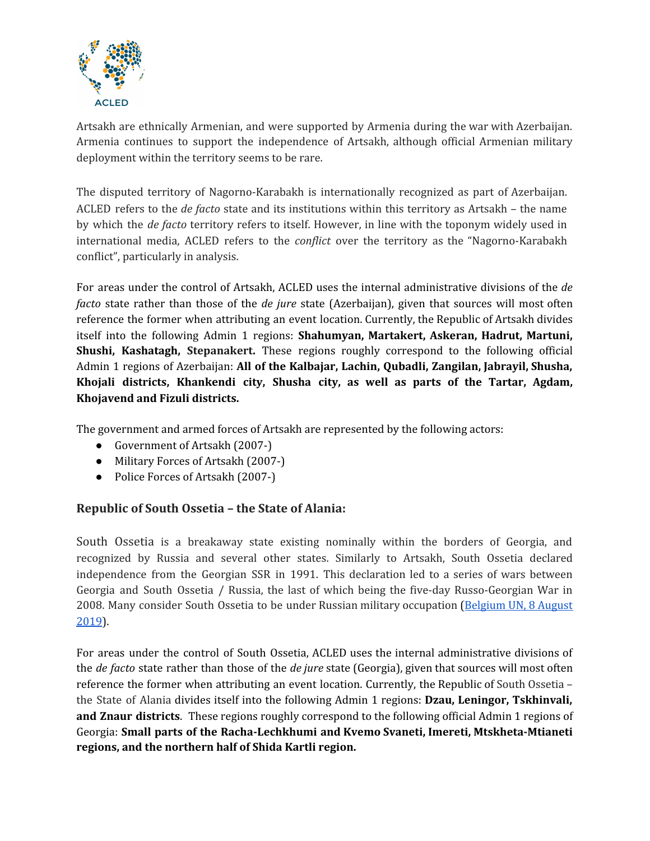

Artsakh are ethnically Armenian, and were supported by Armenia during the war with Azerbaijan. Armenia continues to support the independence of Artsakh, although official Armenian military deployment within the territory seems to be rare.

The disputed territory of Nagorno-Karabakh is internationally recognized as part of Azerbaijan. ACLED refers to the *de facto* state and its institutions within this territory as Artsakh – the name by which the *de facto* territory refers to itself. However, in line with the toponym widely used in international media, ACLED refers to the *conflict* over the territory as the "Nagorno-Karabakh conflict", particularly in analysis.

For areas under the control of Artsakh, ACLED uses the internal administrative divisions of the *de facto* state rather than those of the *de jure* state (Azerbaijan), given that sources will most often reference the former when attributing an event location. Currently, the Republic of Artsakh divides itself into the following Admin 1 regions: **Shahumyan, Martakert, Askeran, Hadrut, Martuni, Shushi, Kashatagh, Stepanakert.** These regions roughly correspond to the following official Admin 1 regions of Azerbaijan: **All of the Kalbajar, Lachin, Qubadli, Zangilan, Jabrayil, Shusha, Khojali districts, Khankendi city, Shusha city, as well as parts of the Tartar, Agdam, Khojavend and Fizuli districts.**

The government and armed forces of Artsakh are represented by the following actors:

- Government of Artsakh (2007-)
- Military Forces of Artsakh (2007-)
- Police Forces of Artsakh (2007-)

#### **Republic of South Ossetia – the State of Alania:**

South Ossetia is a breakaway state existing nominally within the borders of Georgia, and recognized by Russia and several other states. Similarly to Artsakh, South Ossetia declared independence from the Georgian SSR in 1991. This declaration led to a series of wars between Georgia and South Ossetia / Russia, the last of which being the five-day Russo-Georgian War in 2008. Many consider South Ossetia to be under Russian military occupation ([Belgium](https://twitter.com/BelgiumUN/status/1159497708656320512/photo/1) UN, 8 August [2019](https://twitter.com/BelgiumUN/status/1159497708656320512/photo/1)).

For areas under the control of South Ossetia, ACLED uses the internal administrative divisions of the *de facto* state rather than those of the *de jure* state (Georgia), given that sources will most often reference the former when attributing an event location. Currently, the Republic of South Ossetia – the State of Alania divides itself into the following Admin 1 regions: **Dzau, Leningor, Tskhinvali, and Znaur districts**. These regions roughly correspond to the following official Admin 1 regions of Georgia: **Small parts of the Racha-Lechkhumi and Kvemo Svaneti, Imereti, Mtskheta-Mtianeti regions, and the northern half of Shida Kartli region.**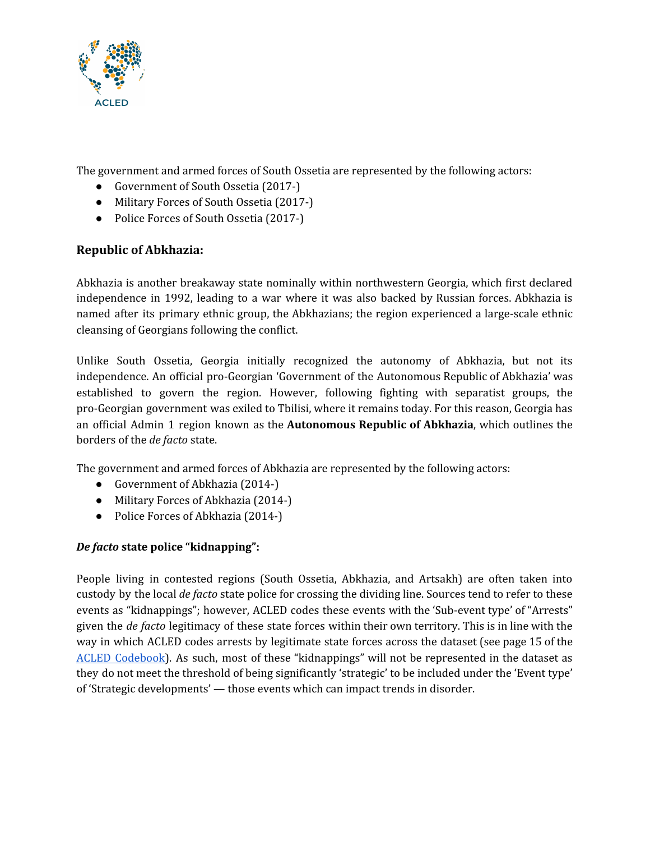

The government and armed forces of South Ossetia are represented by the following actors:

- Government of South Ossetia (2017-)
- Military Forces of South Ossetia (2017-)
- Police Forces of South Ossetia (2017-)

### **Republic of Abkhazia:**

Abkhazia is another breakaway state nominally within northwestern Georgia, which first declared independence in 1992, leading to a war where it was also backed by Russian forces. Abkhazia is named after its primary ethnic group, the Abkhazians; the region experienced a large-scale ethnic cleansing of Georgians following the conflict.

Unlike South Ossetia, Georgia initially recognized the autonomy of Abkhazia, but not its independence. An official pro-Georgian 'Government of the Autonomous Republic of Abkhazia' was established to govern the region. However, following fighting with separatist groups, the pro-Georgian government was exiled to Tbilisi, where it remains today. For this reason, Georgia has an official Admin 1 region known as the **Autonomous Republic of Abkhazia**, which outlines the borders of the *de facto* state.

The government and armed forces of Abkhazia are represented by the following actors:

- Government of Abkhazia (2014-)
- Military Forces of Abkhazia (2014-)
- Police Forces of Abkhazia (2014-)

#### *De facto* **state police "kidnapping":**

People living in contested regions (South Ossetia, Abkhazia, and Artsakh) are often taken into custody by the local *de facto* state police for crossing the dividing line. Sources tend to refer to these events as "kidnappings"; however, ACLED codes these events with the 'Sub-event type' of "Arrests" given the *de facto* legitimacy of these state forces within their own territory. This is in line with the way in which ACLED codes arrests by legitimate state forces across the dataset (see page 15 of the ACLED [Codebook](https://acleddata.com/acleddatanew/wp-content/uploads/dlm_uploads/2019/04/ACLED_Codebook_2019FINAL_pbl.pdf)). As such, most of these "kidnappings" will not be represented in the dataset as they do not meet the threshold of being significantly 'strategic' to be included under the 'Event type' of 'Strategic developments' — those events which can impact trends in disorder.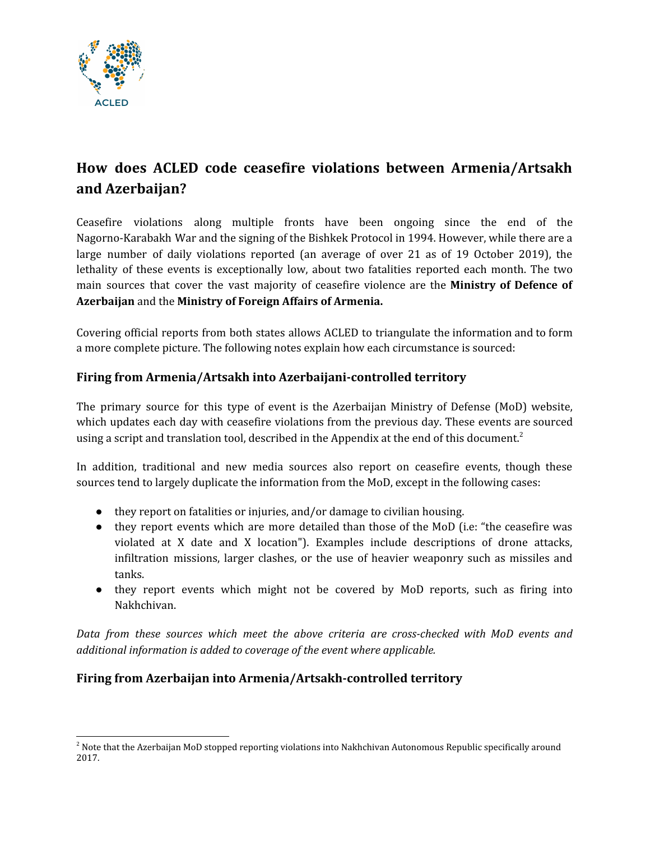

## **How does ACLED code ceasefire violations between Armenia/Artsakh and Azerbaijan?**

Ceasefire violations along multiple fronts have been ongoing since the end of the Nagorno-Karabakh War and the signing of the Bishkek Protocol in 1994. However, while there are a large number of daily violations reported (an average of over 21 as of 19 October 2019), the lethality of these events is exceptionally low, about two fatalities reported each month. The two main sources that cover the vast majority of ceasefire violence are the **Ministry of Defence of Azerbaijan** and the **Ministry of Foreign Affairs of Armenia.**

Covering official reports from both states allows ACLED to triangulate the information and to form a more complete picture. The following notes explain how each circumstance is sourced:

### **Firing from Armenia/Artsakh into Azerbaijani-controlled territory**

The primary source for this type of event is the Azerbaijan Ministry of Defense (MoD) website, which updates each day with ceasefire violations from the previous day. These events are sourced using a script and translation tool, described in the Appendix at the end of this document.<sup>2</sup>

In addition, traditional and new media sources also report on ceasefire events, though these sources tend to largely duplicate the information from the MoD, except in the following cases:

- they report on fatalities or injuries, and/or damage to civilian housing.
- they report events which are more detailed than those of the MoD (i.e: "the ceasefire was violated at X date and X location"). Examples include descriptions of drone attacks, infiltration missions, larger clashes, or the use of heavier weaponry such as missiles and tanks.
- they report events which might not be covered by MoD reports, such as firing into Nakhchivan.

*Data from these sources which meet the above criteria are cross-checked with MoD events and additional information is added to coverage of the event where applicable.*

## **Firing from Azerbaijan into Armenia/Artsakh-controlled territory**

 $^2$  Note that the Azerbaijan MoD stopped reporting violations into Nakhchivan Autonomous Republic specifically around 2017.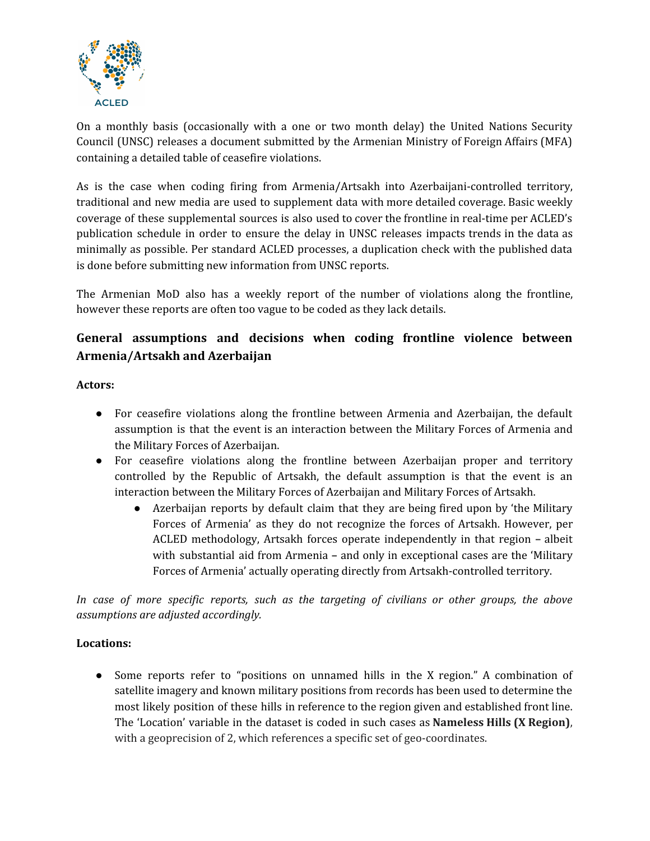

On a monthly basis (occasionally with a one or two month delay) the United Nations Security Council (UNSC) releases a document submitted by the Armenian Ministry of Foreign Affairs (MFA) containing a detailed table of ceasefire violations.

As is the case when coding firing from Armenia/Artsakh into Azerbaijani-controlled territory, traditional and new media are used to supplement data with more detailed coverage. Basic weekly coverage of these supplemental sources is also used to cover the frontline in real-time per ACLED's publication schedule in order to ensure the delay in UNSC releases impacts trends in the data as minimally as possible. Per standard ACLED processes, a duplication check with the published data is done before submitting new information from UNSC reports.

The Armenian MoD also has a weekly report of the number of violations along the frontline, however these reports are often too vague to be coded as they lack details.

## **General assumptions and decisions when coding frontline violence between Armenia/Artsakh and Azerbaijan**

#### **Actors:**

- For ceasefire violations along the frontline between Armenia and Azerbaijan, the default assumption is that the event is an interaction between the Military Forces of Armenia and the Military Forces of Azerbaijan.
- For ceasefire violations along the frontline between Azerbaijan proper and territory controlled by the Republic of Artsakh, the default assumption is that the event is an interaction between the Military Forces of Azerbaijan and Military Forces of Artsakh.
	- Azerbaijan reports by default claim that they are being fired upon by 'the Military Forces of Armenia' as they do not recognize the forces of Artsakh. However, per ACLED methodology, Artsakh forces operate independently in that region **–** albeit with substantial aid from Armenia **–** and only in exceptional cases are the 'Military Forces of Armenia' actually operating directly from Artsakh-controlled territory.

*In case of more specific reports, such as the targeting of civilians or other groups, the above assumptions are adjusted accordingly.*

#### **Locations:**

• Some reports refer to "positions on unnamed hills in the X region." A combination of satellite imagery and known military positions from records has been used to determine the most likely position of these hills in reference to the region given and established front line. The 'Location' variable in the dataset is coded in such cases as **Nameless Hills (X Region)**, with a geoprecision of 2, which references a specific set of geo-coordinates.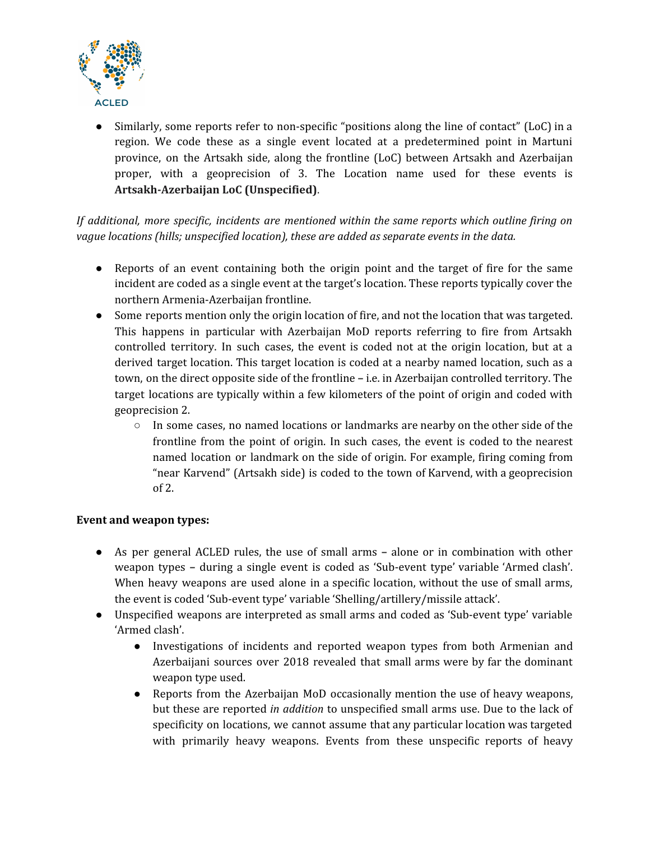

• Similarly, some reports refer to non-specific "positions along the line of contact" (LoC) in a region. We code these as a single event located at a predetermined point in Martuni province, on the Artsakh side, along the frontline (LoC) between Artsakh and Azerbaijan proper, with a geoprecision of 3. The Location name used for these events is **Artsakh-Azerbaijan LoC (Unspecified)**.

*If additional, more specific, incidents are mentioned within the same reports which outline firing on vague locations (hills; unspecified location), these are added as separate events in the data.*

- Reports of an event containing both the origin point and the target of fire for the same incident are coded as a single event at the target's location. These reports typically cover the northern Armenia-Azerbaijan frontline.
- Some reports mention only the origin location of fire, and not the location that was targeted. This happens in particular with Azerbaijan MoD reports referring to fire from Artsakh controlled territory. In such cases, the event is coded not at the origin location, but at a derived target location. This target location is coded at a nearby named location, such as a town, on the direct opposite side of the frontline **–** i.e. in Azerbaijan controlled territory. The target locations are typically within a few kilometers of the point of origin and coded with geoprecision 2.
	- $\circ$  In some cases, no named locations or landmarks are nearby on the other side of the frontline from the point of origin. In such cases, the event is coded to the nearest named location or landmark on the side of origin. For example, firing coming from "near Karvend" (Artsakh side) is coded to the town of Karvend, with a geoprecision of 2.

#### **Event and weapon types:**

- As per general ACLED rules, the use of small arms **–** alone or in combination with other weapon types **–** during a single event is coded as 'Sub-event type' variable 'Armed clash'. When heavy weapons are used alone in a specific location, without the use of small arms, the event is coded 'Sub-event type' variable 'Shelling/artillery/missile attack'.
- Unspecified weapons are interpreted as small arms and coded as 'Sub-event type' variable 'Armed clash'.
	- Investigations of incidents and reported weapon types from both Armenian and Azerbaijani sources over 2018 revealed that small arms were by far the dominant weapon type used.
	- Reports from the Azerbaijan MoD occasionally mention the use of heavy weapons, but these are reported *in addition* to unspecified small arms use. Due to the lack of specificity on locations, we cannot assume that any particular location was targeted with primarily heavy weapons. Events from these unspecific reports of heavy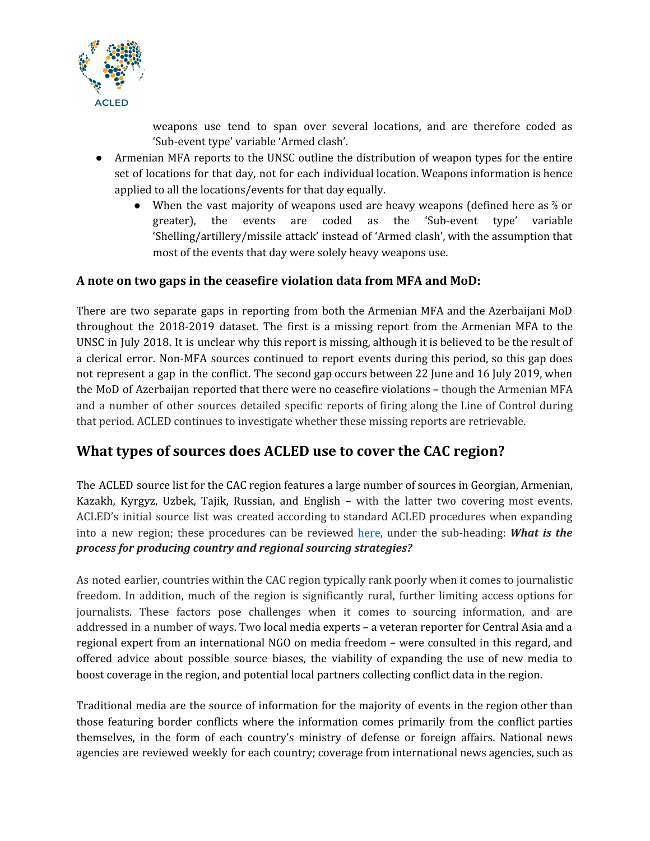

weapons use tend to span over several locations, and are therefore coded as 'Sub-event type' variable 'Armed clash'.

- Armenian MFA reports to the UNSC outline the distribution of weapon types for the entire set of locations for that day, not for each individual location. Weapons information is hence applied to all the locations/events for that day equally.
	- When the vast majority of weapons used are heavy weapons (defined here as ⅔ or greater), the events are coded as the 'Sub-event type' variable 'Shelling/artillery/missile attack' instead of 'Armed clash', with the assumption that most of the events that day were solely heavy weapons use.

### **A note on two gaps in the ceasefire violation data from MFA and MoD:**

There are two separate gaps in reporting from both the Armenian MFA and the Azerbaijani MoD throughout the 2018-2019 dataset. The first is a missing report from the Armenian MFA to the UNSC in July 2018. It is unclear why this report is missing, although it is believed to be the result of a clerical error. Non-MFA sources continued to report events during this period, so this gap does not represent a gap in the conflict. The second gap occurs between 22 June and 16 July 2019, when the MoD of Azerbaijan reported that there were no ceasefire violations **–** though the Armenian MFA and a number of other sources detailed specific reports of firing along the Line of Control during that period. ACLED continues to investigate whether these missing reports are retrievable.

## **What types of sources does ACLED use to cover the CAC region?**

The ACLED source list for the CAC region features a large number of sources in Georgian, Armenian, Kazakh, Kyrgyz, Uzbek, Tajik, Russian, and English **–** with the latter two covering most events. ACLED's initial source list was created according to standard ACLED procedures when expanding into a new region; these procedures can be reviewed [here](https://acleddata.com/acleddatanew/wp-content/uploads/dlm_uploads/2020/02/FAQs_ACLED-Sourcing-Methodology.pdf), under the sub-heading: *What is the process for producing country and regional sourcing strategies?*

As noted earlier, countries within the CAC region typically rank poorly when it comes to journalistic freedom. In addition, much of the region is significantly rural, further limiting access options for journalists. These factors pose challenges when it comes to sourcing information, and are addressed in a number of ways. Two local media experts **–** a veteran reporter for Central Asia and a regional expert from an international NGO on media freedom **–** were consulted in this regard, and offered advice about possible source biases, the viability of expanding the use of new media to boost coverage in the region, and potential local partners collecting conflict data in the region.

Traditional media are the source of information for the majority of events in the region other than those featuring border conflicts where the information comes primarily from the conflict parties themselves, in the form of each country's ministry of defense or foreign affairs. National news agencies are reviewed weekly for each country; coverage from international news agencies, such as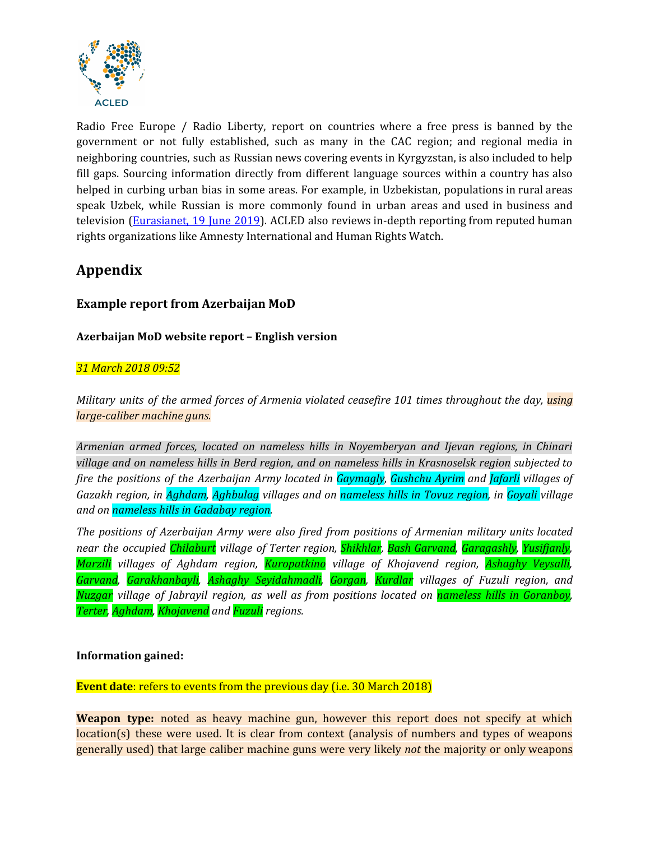

Radio Free Europe / Radio Liberty, report on countries where a free press is banned by the government or not fully established, such as many in the CAC region; and regional media in neighboring countries, such as Russian news covering events in Kyrgyzstan, is also included to help fill gaps. Sourcing information directly from different language sources within a country has also helped in curbing urban bias in some areas. For example, in Uzbekistan, populations in rural areas speak Uzbek, while Russian is more commonly found in urban areas and used in business and television [\(Eurasianet,](https://eurasianet.org/uzbekistan-a-second-coming-for-the-russian-language) 19 June 2019). ACLED also reviews in-depth reporting from reputed human rights organizations like Amnesty International and Human Rights Watch.

## **Appendix**

### **Example report from Azerbaijan MoD**

#### **Azerbaijan MoD website report – English version**

#### *31 March 2018 09:52*

*Military units of the armed forces of Armenia violated ceasefire 101 times throughout the day, using large-caliber machine guns.*

*Armenian armed forces, located on nameless hills in Noyemberyan and Ijevan regions, in Chinari village and on nameless hills in Berd region, and on nameless hills in Krasnoselsk region subjected to fire the positions of the Azerbaijan Army located in Gaymagly, Gushchu Ayrim and Jafarli villages of Gazakh region, in Aghdam, Aghbulag villages and on nameless hills in Tovuz region, in Goyali village and on nameless hills in Gadabay region.*

*The positions of Azerbaijan Army were also fired from positions of Armenian military units located near the occupied Chilaburt village of Terter region, Shikhlar, Bash Garvand, Garagashly, Yusifjanly, Marzili villages of Aghdam region, Kuropatkino village of Khojavend region, Ashaghy Veysalli, Garvand, Garakhanbayli, Ashaghy Seyidahmadli, Gorgan, Kurdlar villages of Fuzuli region, and Nuzgar village of Jabrayil region, as well as from positions located on nameless hills in Goranboy, Terter, Aghdam, Khojavend and Fuzuli regions.*

#### **Information gained:**

#### **Event date**: refers to events from the previous day (i.e. 30 March 2018)

**Weapon type:** noted as heavy machine gun, however this report does not specify at which location(s) these were used. It is clear from context (analysis of numbers and types of weapons generally used) that large caliber machine guns were very likely *not* the majority or only weapons